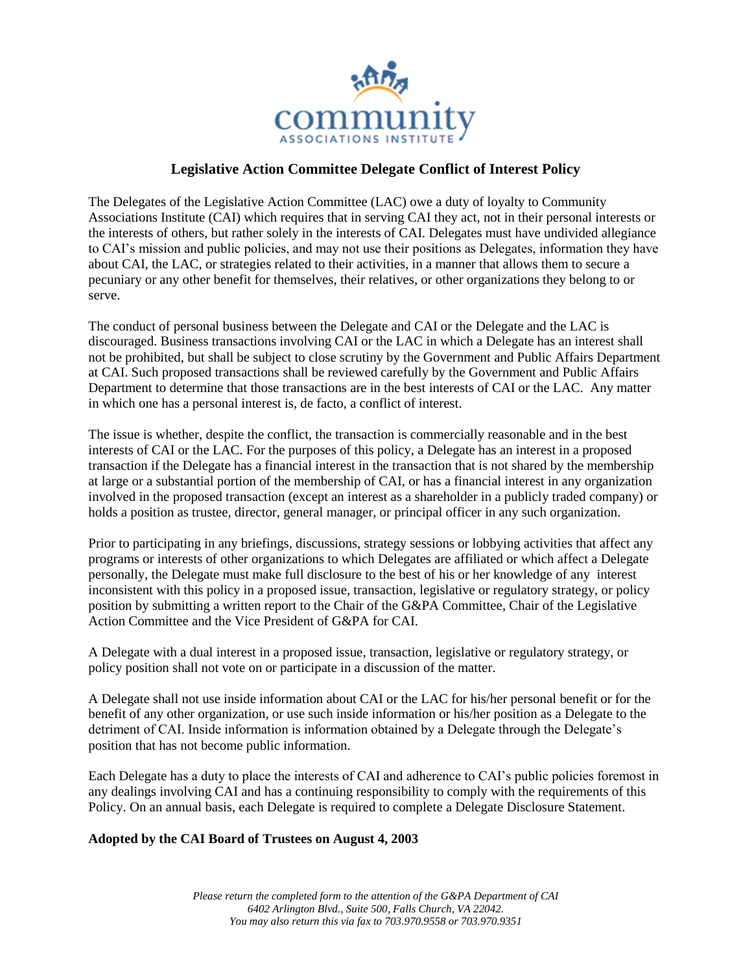

# **Legislative Action Committee Delegate Conflict of Interest Policy**

The Delegates of the Legislative Action Committee (LAC) owe a duty of loyalty to Community Associations Institute (CAI) which requires that in serving CAI they act, not in their personal interests or the interests of others, but rather solely in the interests of CAI. Delegates must have undivided allegiance to CAI's mission and public policies, and may not use their positions as Delegates, information they have about CAI, the LAC, or strategies related to their activities, in a manner that allows them to secure a pecuniary or any other benefit for themselves, their relatives, or other organizations they belong to or serve.

The conduct of personal business between the Delegate and CAI or the Delegate and the LAC is discouraged. Business transactions involving CAI or the LAC in which a Delegate has an interest shall not be prohibited, but shall be subject to close scrutiny by the Government and Public Affairs Department at CAI. Such proposed transactions shall be reviewed carefully by the Government and Public Affairs Department to determine that those transactions are in the best interests of CAI or the LAC. Any matter in which one has a personal interest is, de facto, a conflict of interest.

The issue is whether, despite the conflict, the transaction is commercially reasonable and in the best interests of CAI or the LAC. For the purposes of this policy, a Delegate has an interest in a proposed transaction if the Delegate has a financial interest in the transaction that is not shared by the membership at large or a substantial portion of the membership of CAI, or has a financial interest in any organization involved in the proposed transaction (except an interest as a shareholder in a publicly traded company) or holds a position as trustee, director, general manager, or principal officer in any such organization.

Prior to participating in any briefings, discussions, strategy sessions or lobbying activities that affect any programs or interests of other organizations to which Delegates are affiliated or which affect a Delegate personally, the Delegate must make full disclosure to the best of his or her knowledge of any interest inconsistent with this policy in a proposed issue, transaction, legislative or regulatory strategy, or policy position by submitting a written report to the Chair of the G&PA Committee, Chair of the Legislative Action Committee and the Vice President of G&PA for CAI.

A Delegate with a dual interest in a proposed issue, transaction, legislative or regulatory strategy, or policy position shall not vote on or participate in a discussion of the matter.

A Delegate shall not use inside information about CAI or the LAC for his/her personal benefit or for the benefit of any other organization, or use such inside information or his/her position as a Delegate to the detriment of CAI. Inside information is information obtained by a Delegate through the Delegate's position that has not become public information.

Each Delegate has a duty to place the interests of CAI and adherence to CAI's public policies foremost in any dealings involving CAI and has a continuing responsibility to comply with the requirements of this Policy. On an annual basis, each Delegate is required to complete a Delegate Disclosure Statement.

### **Adopted by the CAI Board of Trustees on August 4, 2003**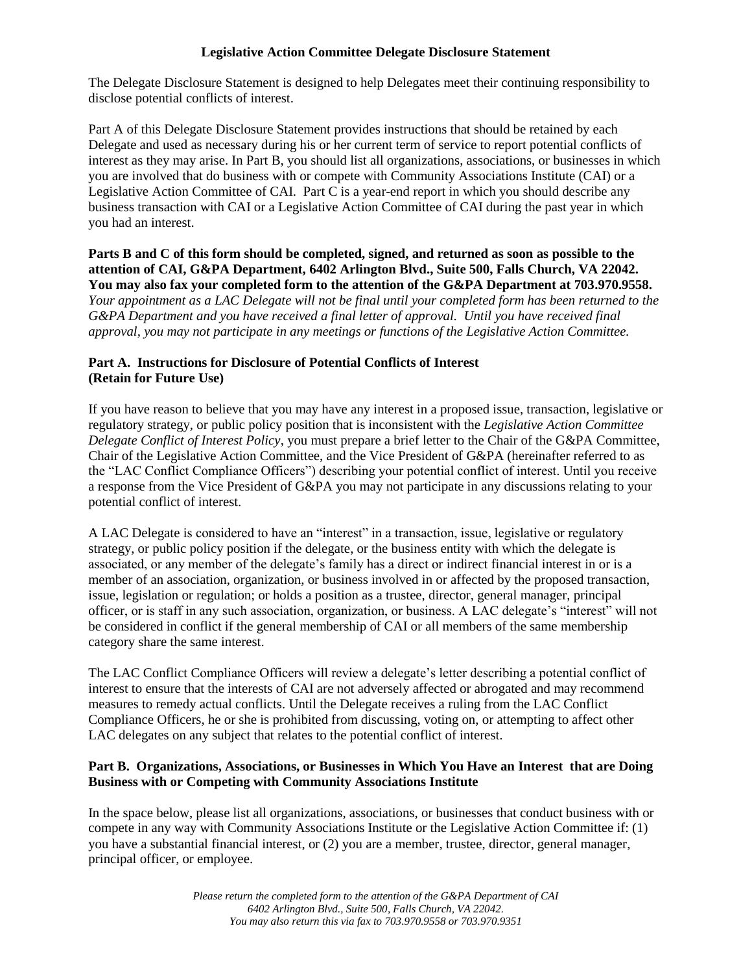### **Legislative Action Committee Delegate Disclosure Statement**

The Delegate Disclosure Statement is designed to help Delegates meet their continuing responsibility to disclose potential conflicts of interest.

Part A of this Delegate Disclosure Statement provides instructions that should be retained by each Delegate and used as necessary during his or her current term of service to report potential conflicts of interest as they may arise. In Part B, you should list all organizations, associations, or businesses in which you are involved that do business with or compete with Community Associations Institute (CAI) or a Legislative Action Committee of CAI. Part C is a year-end report in which you should describe any business transaction with CAI or a Legislative Action Committee of CAI during the past year in which you had an interest.

**Parts B and C of this form should be completed, signed, and returned as soon as possible to the attention of CAI, G&PA Department, 6402 Arlington Blvd., Suite 500, Falls Church, VA 22042. You may also fax your completed form to the attention of the G&PA Department at 703.970.9558.** *Your appointment as a LAC Delegate will not be final until your completed form has been returned to the* 

*G&PA Department and you have received a final letter of approval. Until you have received final approval, you may not participate in any meetings or functions of the Legislative Action Committee.*

# **Part A. Instructions for Disclosure of Potential Conflicts of Interest (Retain for Future Use)**

If you have reason to believe that you may have any interest in a proposed issue, transaction, legislative or regulatory strategy, or public policy position that is inconsistent with the *Legislative Action Committee Delegate Conflict of Interest Policy*, you must prepare a brief letter to the Chair of the G&PA Committee, Chair of the Legislative Action Committee, and the Vice President of G&PA (hereinafter referred to as the "LAC Conflict Compliance Officers") describing your potential conflict of interest. Until you receive a response from the Vice President of G&PA you may not participate in any discussions relating to your potential conflict of interest.

A LAC Delegate is considered to have an "interest" in a transaction, issue, legislative or regulatory strategy, or public policy position if the delegate, or the business entity with which the delegate is associated, or any member of the delegate's family has a direct or indirect financial interest in or is a member of an association, organization, or business involved in or affected by the proposed transaction, issue, legislation or regulation; or holds a position as a trustee, director, general manager, principal officer, or is staff in any such association, organization, or business. A LAC delegate's "interest" will not be considered in conflict if the general membership of CAI or all members of the same membership category share the same interest.

The LAC Conflict Compliance Officers will review a delegate's letter describing a potential conflict of interest to ensure that the interests of CAI are not adversely affected or abrogated and may recommend measures to remedy actual conflicts. Until the Delegate receives a ruling from the LAC Conflict Compliance Officers, he or she is prohibited from discussing, voting on, or attempting to affect other LAC delegates on any subject that relates to the potential conflict of interest.

## **Part B. Organizations, Associations, or Businesses in Which You Have an Interest that are Doing Business with or Competing with Community Associations Institute**

In the space below, please list all organizations, associations, or businesses that conduct business with or compete in any way with Community Associations Institute or the Legislative Action Committee if: (1) you have a substantial financial interest, or (2) you are a member, trustee, director, general manager, principal officer, or employee.

> *Please return the completed form to the attention of the G&PA Department of CAI 6402 Arlington Blvd., Suite 500, Falls Church, VA 22042. You may also return this via fax to 703.970.9558 or 703.970.9351*